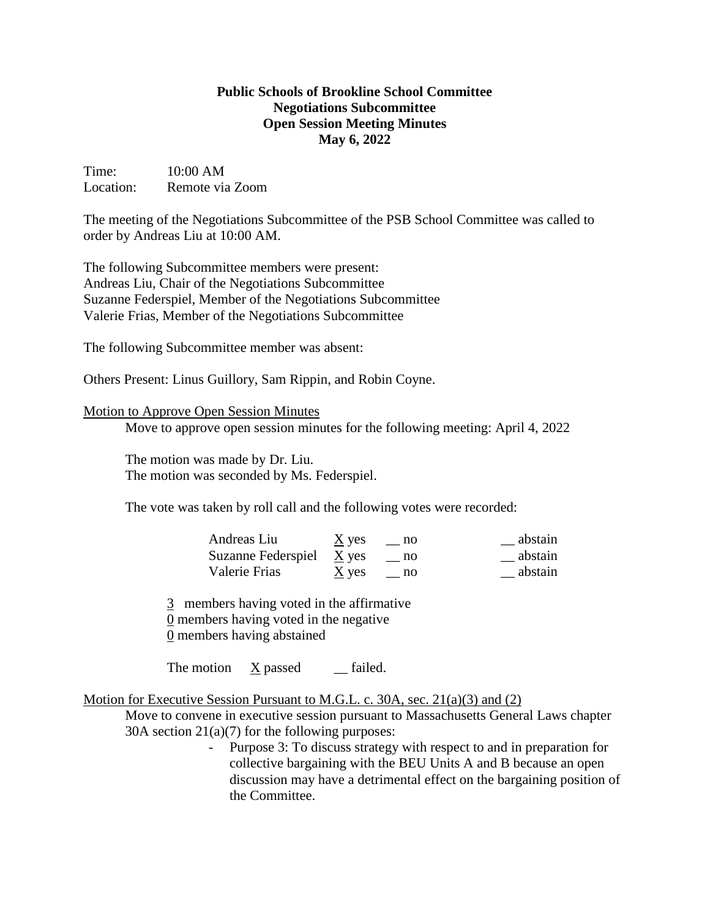## **Public Schools of Brookline School Committee Negotiations Subcommittee Open Session Meeting Minutes May 6, 2022**

Time: 10:00 AM Location: Remote via Zoom

The meeting of the Negotiations Subcommittee of the PSB School Committee was called to order by Andreas Liu at 10:00 AM.

The following Subcommittee members were present: Andreas Liu, Chair of the Negotiations Subcommittee Suzanne Federspiel, Member of the Negotiations Subcommittee Valerie Frias, Member of the Negotiations Subcommittee

The following Subcommittee member was absent:

Others Present: Linus Guillory, Sam Rippin, and Robin Coyne.

## Motion to Approve Open Session Minutes

Move to approve open session minutes for the following meeting: April 4, 2022

The motion was made by Dr. Liu. The motion was seconded by Ms. Federspiel.

The vote was taken by roll call and the following votes were recorded:

| Andreas Liu                | $\underline{X}$ yes | no | abstain |
|----------------------------|---------------------|----|---------|
| Suzanne Federspiel $X$ yes |                     | no | abstain |
| Valerie Frias              | $\underline{X}$ yes | no | abstain |

3 members having voted in the affirmative 0 members having voted in the negative

0 members having abstained

The motion  $\bar{X}$  passed \_\_ failed.

Motion for Executive Session Pursuant to M.G.L. c. 30A, sec. 21(a)(3) and (2)

Move to convene in executive session pursuant to Massachusetts General Laws chapter 30A section 21(a)(7) for the following purposes:

> - Purpose 3: To discuss strategy with respect to and in preparation for collective bargaining with the BEU Units A and B because an open discussion may have a detrimental effect on the bargaining position of the Committee.